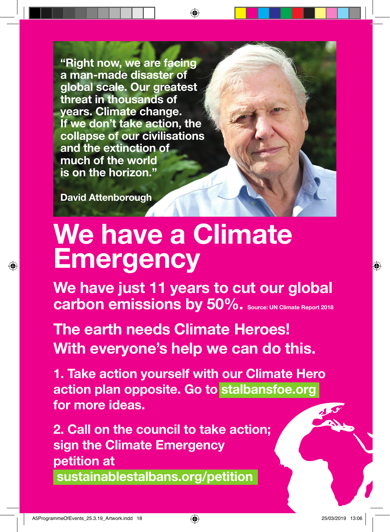"Right now, we are facing a man-made disaster of global scale. Our greatest threat in thousands of years. Climate change. If we don't take action, the collapse of our civilisations and the extinction of much of the world is on the horizon."

David Attenborough

## We have a Climate **Emergency**

We have just 11 years to cut our global carbon emissions by 50%. Source: UN Climate Report 2018

The earth needs Climate Heroes! With everyone's help we can do this.

1. Take action yourself with our Climate Hero action plan opposite. Go to stalbansfoe.org for more ideas.

2. Call on the council to take action; sign the Climate Emergency petition at sustainablestalbans.org/petition